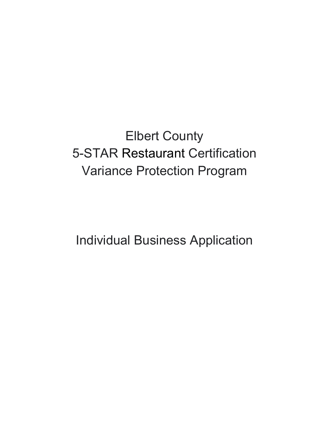Elbert County 5-STAR Restaurant Certification Variance Protection Program

Individual Business Application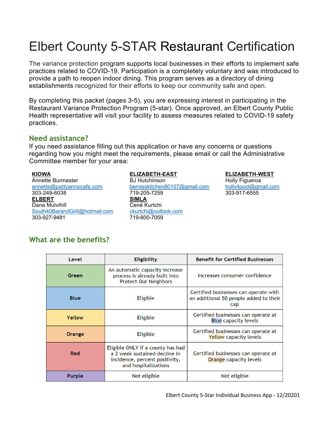# Elbert County 5-STAR Restaurant Certification

The variance protection program supports local businesses in their efforts to implement safe practices related to COVID-19. Participation is a completely voluntary and was introduced to provide a path to reopen indoor dining. This program serves as a directory of dining establishments recognized for their efforts to keep our community safe and open.

By completing this packet (pages 3-5), you are expressing interest in participating in the Restaurant Variance Protection Program (5-star). Once approved, an Elbert County Public Health representative will visit your facility to assess measures related to COVID-19 safety practices.

## **Need assistance?**

If you need assistance filling out this application or have any concerns or questions regarding how you might meet the requirements, please email or call the Administrative Committee member for your area:

annette@pattyannscafe.com 303-249-6038 **ELBERT SIMLA** Dana Mulvihill **Cené** Kurtchi South40BarandGrill@hotmail.com 303-927-9481

#### **KIOWA ELIZABETH-EAST ELIZABETH-WEST**

Annette Burmaster The BJ Hutchinson **Holly Figueroa** bernieskitchen80107@gmail.com 719-205-7259 ckurtchi@outlook.com 719-600-7059

holly4pool@gmail.com 303-917-6555

## **What are the benefits?**

| Level       | <b>Eligibility</b>                                                                                                           | <b>Benefit for Certified Businesses</b>                                                |
|-------------|------------------------------------------------------------------------------------------------------------------------------|----------------------------------------------------------------------------------------|
| Green       | An automatic capacity increase<br>process is already built into<br><b>Protect Our Neighbors</b>                              | Increases consumer confidence                                                          |
| <b>Blue</b> | <b>Eligible</b>                                                                                                              | Certified businesses can operate with<br>an additional 50 people added to their<br>cap |
| Yellow      | Eligible                                                                                                                     | Certified businesses can operate at<br><b>Blue capacity levels</b>                     |
| Orange      | <b>Eligible</b>                                                                                                              | Certified businesses can operate at<br><b>Yellow</b> capacity levels                   |
| Red         | Eligible ONLY if a county has had<br>a 2 week sustained decline in<br>incidence, percent positivity,<br>and hospitalizations | Certified businesses can operate at<br><b>Orange</b> capacity levels                   |
| Purple      | Not eligible                                                                                                                 | Not eligible                                                                           |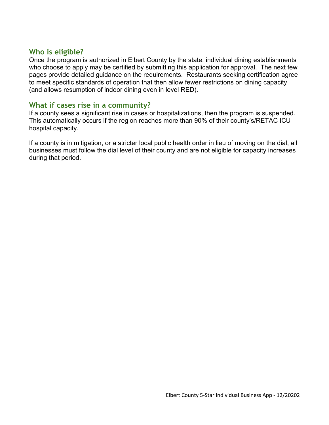## **Who is eligible?**

Once the program is authorized in Elbert County by the state, individual dining establishments who choose to apply may be certified by submitting this application for approval. The next few pages provide detailed guidance on the requirements. Restaurants seeking certification agree to meet specific standards of operation that then allow fewer restrictions on dining capacity (and allows resumption of indoor dining even in level RED).

## **What if cases rise in a community?**

If a county sees a significant rise in cases or hospitalizations, then the program is suspended. This automatically occurs if the region reaches more than 90% of their county's/RETAC ICU hospital capacity.

If a county is in mitigation, or a stricter local public health order in lieu of moving on the dial, all businesses must follow the dial level of their county and are not eligible for capacity increases during that period.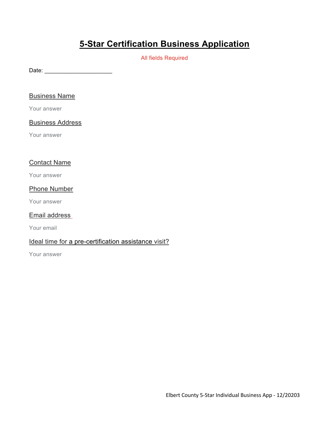## **5-Star Certification Business Application**

All fields Required

Date: \_\_\_\_\_\_\_\_\_\_\_\_\_\_\_\_\_\_\_\_\_

### Business Name

Your answer

## Business Address

Your answer

## Contact Name

Your answer

#### Phone Number

Your answer

### Email address

Your email

## Ideal time for a pre-certification assistance visit?

Your answer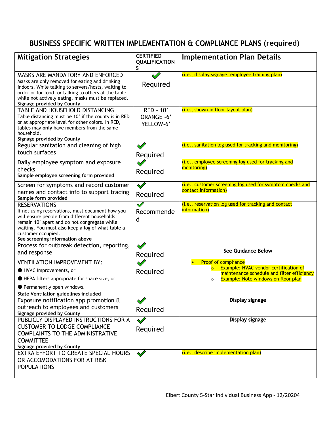## BUSINESS SPECIFIC WRITTEN IMPLEMENTATION & COMPLIANCE PLANS **(required)**

| <b>Mitigation Strategies</b>                                                                                                                                                                                                                                                          | <b>CERTIFIED</b><br><b>QUALIFICATION</b><br>S | <b>Implementation Plan Details</b>                                                                                                                                                               |
|---------------------------------------------------------------------------------------------------------------------------------------------------------------------------------------------------------------------------------------------------------------------------------------|-----------------------------------------------|--------------------------------------------------------------------------------------------------------------------------------------------------------------------------------------------------|
| MASKS ARE MANDATORY AND ENFORCED<br>Masks are only removed for eating and drinking<br>indoors. While talking to servers/hosts, waiting to<br>order or for food, or talking to others at the table<br>while not actively eating, masks must be replaced.<br>Signage provided by County | Required                                      | (i.e., display signage, employee training plan)                                                                                                                                                  |
| TABLE AND HOUSEHOLD DISTANCING<br>Table distancing must be 10' if the county is in RED<br>or at appropriate level for other colors. In RED,<br>tables may only have members from the same<br>household.<br><b>Signage provided by County</b>                                          | RED - 10'<br>ORANGE -6'<br>YELLOW-6'          | (i.e., shown in floor layout plan)                                                                                                                                                               |
| Regular sanitation and cleaning of high<br>touch surfaces                                                                                                                                                                                                                             | $\mathscr Q$<br>Required                      | (i.e., sanitation log used for tracking and monitoring)                                                                                                                                          |
| Daily employee symptom and exposure<br>checks<br>Sample employee screening form provided                                                                                                                                                                                              | Required                                      | (i.e., employee screening log used for tracking and<br>monitoring)                                                                                                                               |
| Screen for symptoms and record customer<br>names and contact info to support tracing<br>Sample form provided                                                                                                                                                                          | Required                                      | (i.e., customer screening log used for symptom checks and<br>contact information)                                                                                                                |
| <b>RESERVATIONS</b><br>If not using reservations, must document how you<br>will ensure people from different households<br>remain 10' apart and do not congregate while<br>waiting. You must also keep a log of what table a<br>customer occupied.<br>See screening information above | $\blacklozenge$<br>Recommende<br>d            | (i.e., reservation log used for tracking and contact<br>information)                                                                                                                             |
| Process for outbreak detection, reporting,<br>and response                                                                                                                                                                                                                            | $\mathscr{Q}$<br>Required                     | See Guidance Below                                                                                                                                                                               |
| <b>VENTILATION IMPROVEMENT BY:</b><br>HVAC improvements, or<br>HEPA filters appropriate for space size, or<br>Permanently open windows.<br>State Ventilation guidelines included                                                                                                      | Required                                      | <b>Proof of compliance</b><br>Example: HVAC vendor certification of<br>$\overline{\circ}$<br>maintenance schedule and filter efficiency<br><b>Example: Note windows on floor plan</b><br>$\circ$ |
| Exposure notification app promotion &<br>outreach to employees and customers<br>Signage provided by County                                                                                                                                                                            | $\mathscr{Q}$<br>Required                     | Display signage                                                                                                                                                                                  |
| PUBLICLY DISPLAYED INSTRUCTIONS FOR A<br><b>CUSTOMER TO LODGE COMPLIANCE</b><br><b>COMPLAINTS TO THE ADMINISTRATIVE</b><br><b>COMMITTEE</b><br>Signage provided by County                                                                                                             | Required                                      | Display signage                                                                                                                                                                                  |
| EXTRA EFFORT TO CREATE SPECIAL HOURS<br>OR ACCOMODATIONS FOR AT RISK<br><b>POPULATIONS</b>                                                                                                                                                                                            | $\blacklozenge$                               | (i.e., describe implementation plan)                                                                                                                                                             |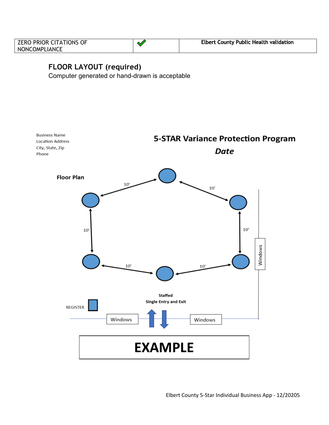| <b>ZERO PRIOR CITATIONS OF</b> | <b>Elbert County Public Health validation</b> |
|--------------------------------|-----------------------------------------------|
| NONCOMPLIANCE                  |                                               |

## **FLOOR LAYOUT (required)**

Computer generated or hand-drawn is acceptable

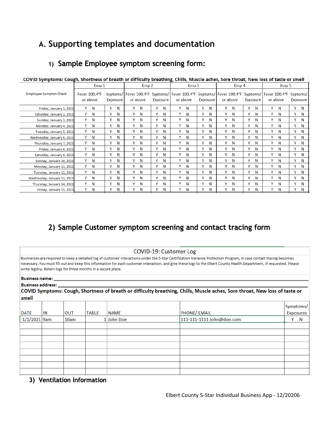## **A. Supporting templates and documentation**

## 1) Sample Employee symptom screening form:

| COVID Symptoms. Cough, Shortness or breath or unncurry breathing, Chins, Muscle aches, Sore throat, New 1033 or taste or smen |          |                           |   |                  |   |                                      |                  |          |                        |          |   |          |                        |             |                  |          |                        |          |          |          |
|-------------------------------------------------------------------------------------------------------------------------------|----------|---------------------------|---|------------------|---|--------------------------------------|------------------|----------|------------------------|----------|---|----------|------------------------|-------------|------------------|----------|------------------------|----------|----------|----------|
|                                                                                                                               | Emp 1    |                           |   | Emp <sub>2</sub> |   |                                      | Emp <sub>3</sub> |          |                        | Emp 4    |   |          |                        |             | Emp <sub>5</sub> |          |                        |          |          |          |
| <b>Employee Sympton Check</b>                                                                                                 |          | Fever 100.4°F<br>or above |   | Exposure         |   | Syptoms/   Fever 100.4°F<br>or above |                  | Exposure | Syptoms/ Fever 100.4°F | or above |   | Exposure | Syptoms/ Fever 100.4°F | or above    |                  | Exposure | Syptoms/ Fever 100.4°F | or above | Syptoms/ | Exposure |
| Friday, January 1, 2021                                                                                                       | Y        | N                         | ٧ | N                | ٧ | N                                    | Y                | N        | Y                      | N        | γ | N        | Y                      | N           | γ                | N        | Y                      | N        | Y        | N        |
| Saturday, January 2, 2021                                                                                                     | Y        | N                         | v | N                | ۷ | N                                    | γ                | N        | Y                      | N        | Υ | N        | Υ                      | N           | Y                | N        | Y                      | N        | Y        | Ν        |
| Sunday, January 3, 2021                                                                                                       | Y        | N                         | ٧ | Ν                | ۷ | N                                    | ٧                | N        | ۷                      | N        | Y | N        |                        | Y N         | Υ                | N        | Y                      | N        | Y        | Ν        |
| Monday, January 4, 2021                                                                                                       | Y        | N                         | ٧ | Ν                | ۷ | Ν                                    | Y                | N        | ٧                      | N        | Y | N        | Υ                      | N           | ٧                | N        | Y                      | N        | Y        | N        |
| Tuesday, January 5, 2021                                                                                                      | Y        | N                         | ٧ | Ν                | ٧ | Ν                                    | Y                | Ν        | ٧                      | N        | γ | N        | Υ                      | N           | γ                | N        | Y                      | N        | Y        | N        |
| Wednesday, January 6, 2021                                                                                                    | Y        | N                         | ٧ | N                | ٧ | N                                    | v                | N        | ٧                      | N        | ٧ | N        | γ                      | N           | Y                | N        | Y                      | N        | γ        | N        |
| Thursday, January 7, 2021                                                                                                     | Y        | N                         | ٧ | N                | ٧ | N                                    | Y                | N        | ٧                      | N        | Y | N        | Y                      | N           | γ                | N        | Y                      | N        | Υ        | N        |
| Friday, January 8, 2021                                                                                                       | Y        | N                         | γ | N                | Y | N                                    | Y                | N        | Y                      | N        | γ | N        | Y                      | $\mathbf N$ | Y                | N        | Y                      | N        | Υ        | N        |
| Saturday, January 9, 2021                                                                                                     | Y        | N                         | γ | N                | γ | N                                    | Y                | N        | Y                      | N        | Y | N        |                        | Y N         | Y                | N        | Y                      | N        | Y        | N        |
| Sunday, January 10, 2021                                                                                                      | Y        | N                         | ٧ | Ν                | ٧ | N                                    | Y                | Ν        | Υ                      | N        | Y | N        |                        | Y N         | Y                | N        | Y                      | N        | Y        | N        |
| Monday, January 11, 2021                                                                                                      | Y        | N                         | ٧ | N                | ٧ | Ν                                    | Y                | N        | Y                      | N        | Y | N        |                        | Y N         | Y                | N        | Y                      | N        | Y        | N        |
| Tuesday, January 12, 2021                                                                                                     | Y        | N                         | ٧ | Ν                | ۷ | Ν                                    | γ                | N        | Y                      | N        | Y | N        | Y                      | <b>N</b>    | γ                | N        | Y                      | N        | Y        | N        |
| Wednesday, January 13, 2021                                                                                                   | Y        | N                         | v | Ν                | ٧ | Ν                                    | ٧                | Ν        | ٧                      | N        | ٧ | N        | Y                      | N           | v                | N        | Y                      | N        | Y        | Ν        |
| Thursday, January 14, 2021                                                                                                    | <b>Y</b> | N                         | v | N                | ٧ | Ν                                    | v                | N        | ٧                      | N        | ٧ | N        | ٧                      | N           | γ                | N        | Y                      | N        | Y        | N        |
| Friday, January 15, 2021                                                                                                      | Υ        | N                         | ٧ | Ν                | ٧ | N                                    | ٧                | N        | Y                      | N        | γ | N        | Y                      | N           | Y                | Ν        | Y                      | N        | Y        | N        |

## COVID Symptoms: Cough, Shortness of breath or difficulty breathing, Chills, Muscle aches, Sore throat, New Joss of taste or smell

## 2) Sample Customer symptom screening and contact tracing form

#### COVID-19: Customer Log

Businesses are required to keep a detailed log of customer interactions under the 5-Star Certification Variance Protection Program, in case contact tracing becomes necessary. You must fill out and keep this information for each customer interaction, and give these logs to the Elbert County Health Department, if requested. Please write legibly. Retain logs for three months in a secure place.

#### **Business name:**

#### **Business address:** COVID Symptoms: Cough, Shortness of breath or difficulty breathing, Chills, Muscle aches, Sore throat, New loss of taste or  $\mathbf{r}$

| smell          |    |            |              |             |                           |   |           |
|----------------|----|------------|--------------|-------------|---------------------------|---|-----------|
|                |    |            |              |             |                           |   | Symptoms/ |
| DATE           | IN | <b>OUT</b> | <b>TABLE</b> | <b>NAME</b> | PHONE/ EMAIL              |   | Exposures |
| $1/1/2021$ 9am |    | 10am       |              | 1 John Doe  | 111-111-1111 John@doe.com | Y | N         |
|                |    |            |              |             |                           |   |           |
|                |    |            |              |             |                           |   |           |
|                |    |            |              |             |                           |   |           |
|                |    |            |              |             |                           |   |           |
|                |    |            |              |             |                           |   |           |
|                |    |            |              |             |                           |   |           |
|                |    |            |              |             |                           |   |           |
|                |    |            |              |             |                           |   |           |

## 3) Ventilation Information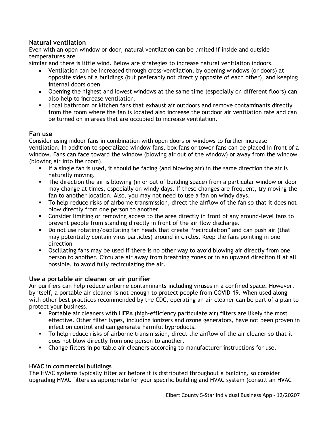## **Natural ventilation**

Even with an open window or door, natural ventilation can be limited if inside and outside temperatures are

similar and there is little wind. Below are strategies to increase natural ventilation indoors.

- Ventilation can be increased through cross-ventilation, by opening windows (or doors) at opposite sides of a buildings (but preferably not directly opposite of each other), and keeping internal doors open
- Opening the highest and lowest windows at the same time (especially on different floors) can also help to increase ventilation.
- **•** Local bathroom or kitchen fans that exhaust air outdoors and remove contaminants directly from the room where the fan is located also increase the outdoor air ventilation rate and can be turned on in areas that are occupied to increase ventilation.

#### **Fan use**

Consider using indoor fans in combination with open doors or windows to further increase ventilation. In addition to specialized window fans, box fans or tower fans can be placed in front of a window. Fans can face toward the window (blowing air out of the window) or away from the window (blowing air into the room).

- **•** If a single fan is used, it should be facing (and blowing air) in the same direction the air is naturally moving.
- The direction the air is blowing (in or out of building space) from a particular window or door may change at times, especially on windy days. If these changes are frequent, try moving the fan to another location. Also, you may not need to use a fan on windy days.
- § To help reduce risks of airborne transmission, direct the airflow of the fan so that it does not blow directly from one person to another.
- Consider limiting or removing access to the area directly in front of any ground-level fans to prevent people from standing directly in front of the air flow discharge.
- § Do not use rotating/oscillating fan heads that create "recirculation" and can push air (that may potentially contain virus particles) around in circles. Keep the fans pointing in one direction
- § Oscillating fans may be used if there is no other way to avoid blowing air directly from one person to another. Circulate air away from breathing zones or in an upward direction if at all possible, to avoid fully recirculating the air.

## **Use a portable air cleaner or air purifier**

Air purifiers can help reduce airborne contaminants including viruses in a confined space. However, by itself, a portable air cleaner is not enough to protect people from COVID-19. When used along with other best practices recommended by the CDC, operating an air cleaner can be part of a plan to protect your business.

- § Portable air cleaners with HEPA (high-efficiency particulate air) filters are likely the most effective. Other filter types, including ionizers and ozone generators, have not been proven in infection control and can generate harmful byproducts.
- § To help reduce risks of airborne transmission, direct the airflow of the air cleaner so that it does not blow directly from one person to another.
- Change filters in portable air cleaners according to manufacturer instructions for use.

## **HVAC in commercial buildings**

The HVAC systems typically filter air before it is distributed throughout a building, so consider upgrading HVAC filters as appropriate for your specific building and HVAC system (consult an HVAC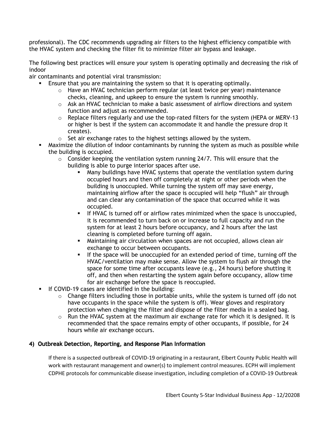professional). The CDC recommends upgrading air filters to the highest efficiency compatible with the HVAC system and checking the filter fit to minimize filter air bypass and leakage.

The following best practices will ensure your system is operating optimally and decreasing the risk of indoor

air contaminants and potential viral transmission:

- § Ensure that you are maintaining the system so that it is operating optimally.
	- $\circ$  Have an HVAC technician perform regular (at least twice per year) maintenance checks, cleaning, and upkeep to ensure the system is running smoothly.
	- $\circ$  Ask an HVAC technician to make a basic assessment of airflow directions and system function and adjust as recommended.
	- o Replace filters regularly and use the top-rated filters for the system (HEPA or MERV-13 or higher is best if the system can accommodate it and handle the pressure drop it creates).
	- $\circ$  Set air exchange rates to the highest settings allowed by the system.
- § Maximize the dilution of indoor contaminants by running the system as much as possible while the building is occupied.
	- $\circ$  Consider keeping the ventilation system running 24/7. This will ensure that the building is able to purge interior spaces after use.
		- § Many buildings have HVAC systems that operate the ventilation system during occupied hours and then off completely at night or other periods when the building is unoccupied. While turning the system off may save energy, maintaining airflow after the space is occupied will help "flush" air through and can clear any contamination of the space that occurred while it was occupied.
		- § If HVAC is turned off or airflow rates minimized when the space is unoccupied, it is recommended to turn back on or increase to full capacity and run the system for at least 2 hours before occupancy, and 2 hours after the last cleaning is completed before turning off again.
		- § Maintaining air circulation when spaces are not occupied, allows clean air exchange to occur between occupants.
		- § If the space will be unoccupied for an extended period of time, turning off the HVAC/ventilation may make sense. Allow the system to flush air through the space for some time after occupants leave (e.g., 24 hours) before shutting it off, and then when restarting the system again before occupancy, allow time for air exchange before the space is reoccupied.
- **•** If COVID-19 cases are identified in the building:
	- $\circ$  Change filters including those in portable units, while the system is turned off (do not have occupants in the space while the system is off). Wear gloves and respiratory protection when changing the filter and dispose of the filter media in a sealed bag.
	- $\circ$  Run the HVAC system at the maximum air exchange rate for which it is designed. It is recommended that the space remains empty of other occupants, if possible, for 24 hours while air exchange occurs.

## 4) Outbreak Detection, Reporting, and Response Plan Information

If there is a suspected outbreak of COVID-19 originating in a restaurant, Elbert County Public Health will work with restaurant management and owner(s) to implement control measures. ECPH will implement CDPHE protocols for communicable disease investigation, including completion of a COVID-19 Outbreak